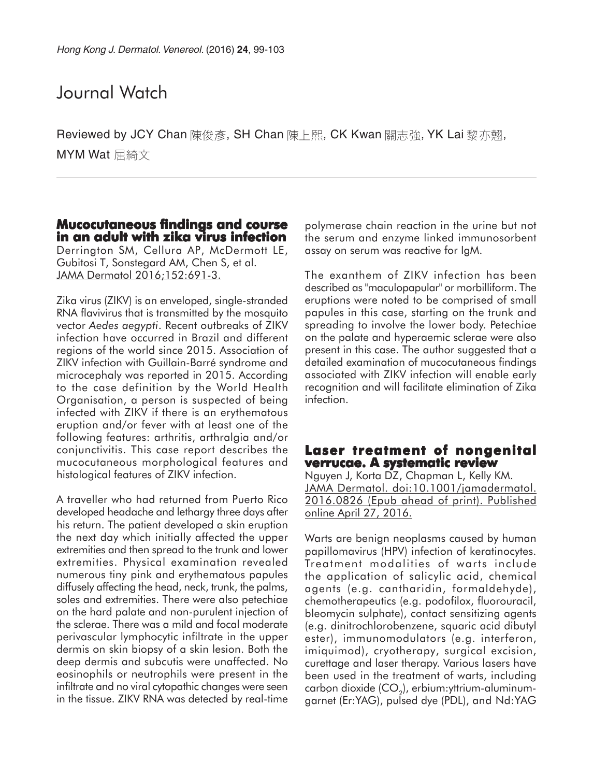## Journal Watch

Reviewed by JCY Chan 陳俊彥, SH Chan 陳上熙, CK Kwan 關志強, YK Lai 黎亦翹, MYM Wat 屈綺文

#### **Mucocutaneous findings and course in an adult with zika virus infection**

Derrington SM, Cellura AP, McDermott LE, Gubitosi T, Sonstegard AM, Chen S, et al. JAMA Dermatol 2016;152:691-3.

Zika virus (ZIKV) is an enveloped, single-stranded RNA flavivirus that is transmitted by the mosquito vector *Aedes aegypti*. Recent outbreaks of ZIKV infection have occurred in Brazil and different regions of the world since 2015. Association of ZIKV infection with Guillain-Barré syndrome and microcephaly was reported in 2015. According to the case definition by the World Health Organisation, a person is suspected of being infected with ZIKV if there is an erythematous eruption and/or fever with at least one of the following features: arthritis, arthralgia and/or conjunctivitis. This case report describes the mucocutaneous morphological features and histological features of ZIKV infection.

A traveller who had returned from Puerto Rico developed headache and lethargy three days after his return. The patient developed a skin eruption the next day which initially affected the upper extremities and then spread to the trunk and lower extremities. Physical examination revealed numerous tiny pink and erythematous papules diffusely affecting the head, neck, trunk, the palms, soles and extremities. There were also petechiae on the hard palate and non-purulent injection of the sclerae. There was a mild and focal moderate perivascular lymphocytic infiltrate in the upper dermis on skin biopsy of a skin lesion. Both the deep dermis and subcutis were unaffected. No eosinophils or neutrophils were present in the infiltrate and no viral cytopathic changes were seen in the tissue. ZIKV RNA was detected by real-time

polymerase chain reaction in the urine but not the serum and enzyme linked immunosorbent assay on serum was reactive for IgM.

The exanthem of ZIKV infection has been described as "maculopapular" or morbilliform. The eruptions were noted to be comprised of small papules in this case, starting on the trunk and spreading to involve the lower body. Petechiae on the palate and hyperaemic sclerae were also present in this case. The author suggested that a detailed examination of mucocutaneous findings associated with ZIKV infection will enable early recognition and will facilitate elimination of Zika infection.

#### **Laser treatment of nongenital treatment of nongenital verrucae. A systematic review**

Nguyen J, Korta DZ, Chapman L, Kelly KM. JAMA Dermatol. doi:10.1001/jamadermatol. 2016.0826 (Epub ahead of print). Published online April 27, 2016.

Warts are benign neoplasms caused by human papillomavirus (HPV) infection of keratinocytes. Treatment modalities of warts include the application of salicylic acid, chemical agents (e.g. cantharidin, formaldehyde), chemotherapeutics (e.g. podofilox, fluorouracil, bleomycin sulphate), contact sensitizing agents (e.g. dinitrochlorobenzene, squaric acid dibutyl ester), immunomodulators (e.g. interferon, imiquimod), cryotherapy, surgical excision, curettage and laser therapy. Various lasers have been used in the treatment of warts, including carbon dioxide  $(CO<sub>2</sub>)$ , erbium: yttrium-aluminumgarnet (Er:YAG), pulsed dye (PDL), and Nd:YAG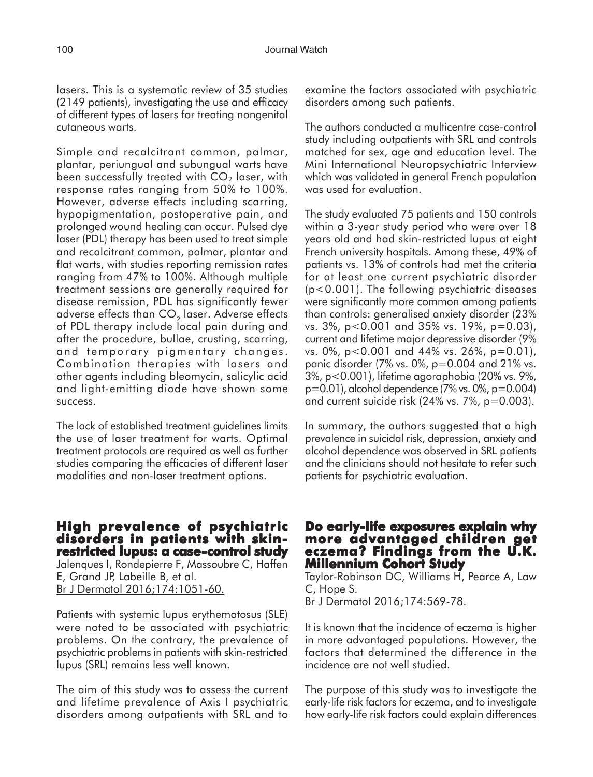lasers. This is a systematic review of 35 studies (2149 patients), investigating the use and efficacy of different types of lasers for treating nongenital cutaneous warts.

Simple and recalcitrant common, palmar, plantar, periungual and subungual warts have been successfully treated with  $CO<sub>2</sub>$  laser, with response rates ranging from 50% to 100%. However, adverse effects including scarring, hypopigmentation, postoperative pain, and prolonged wound healing can occur. Pulsed dye laser (PDL) therapy has been used to treat simple and recalcitrant common, palmar, plantar and flat warts, with studies reporting remission rates ranging from 47% to 100%. Although multiple treatment sessions are generally required for disease remission, PDL has significantly fewer adverse effects than CO<sub>2</sub> laser. Adverse effects of PDL therapy include local pain during and after the procedure, bullae, crusting, scarring, and temporary pigmentary changes. Combination therapies with lasers and other agents including bleomycin, salicylic acid and light-emitting diode have shown some success.

The lack of established treatment guidelines limits the use of laser treatment for warts. Optimal treatment protocols are required as well as further studies comparing the efficacies of different laser modalities and non-laser treatment options.

#### **High prevalence of psychiatric disorders in patients with skinrestricted lupus: a case-control study**

Jalenques I, Rondepierre F, Massoubre C, Haffen E, Grand JP, Labeille B, et al. Br J Dermatol 2016;174:1051-60.

Patients with systemic lupus erythematosus (SLE) were noted to be associated with psychiatric problems. On the contrary, the prevalence of psychiatric problems in patients with skin-restricted lupus (SRL) remains less well known.

The aim of this study was to assess the current and lifetime prevalence of Axis I psychiatric disorders among outpatients with SRL and to

examine the factors associated with psychiatric disorders among such patients.

The authors conducted a multicentre case-control study including outpatients with SRL and controls matched for sex, age and education level. The Mini International Neuropsychiatric Interview which was validated in general French population was used for evaluation.

The study evaluated 75 patients and 150 controls within a 3-year study period who were over 18 years old and had skin-restricted lupus at eight French university hospitals. Among these, 49% of patients vs. 13% of controls had met the criteria for at least one current psychiatric disorder (p<0.001). The following psychiatric diseases were significantly more common among patients than controls: generalised anxiety disorder (23% vs. 3%, p<0.001 and 35% vs. 19%, p=0.03), current and lifetime major depressive disorder (9% vs. 0%, p<0.001 and 44% vs. 26%, p=0.01), panic disorder (7% vs. 0%, p=0.004 and 21% vs. 3%, p<0.001), lifetime agoraphobia (20% vs. 9%, p=0.01), alcohol dependence (7% vs. 0%, p=0.004) and current suicide risk (24% vs. 7%, p=0.003).

In summary, the authors suggested that a high prevalence in suicidal risk, depression, anxiety and alcohol dependence was observed in SRL patients and the clinicians should not hesitate to refer such patients for psychiatric evaluation.

## **Do early-life exposures explain why more advantaged children get advantaged children get eczema? Findings from the U.K. eczema? from U.K. Millennium Cohort Study**

Taylor-Robinson DC, Williams H, Pearce A, Law C, Hope S.

Br J Dermatol 2016;174:569-78.

It is known that the incidence of eczema is higher in more advantaged populations. However, the factors that determined the difference in the incidence are not well studied.

The purpose of this study was to investigate the early-life risk factors for eczema, and to investigate how early-life risk factors could explain differences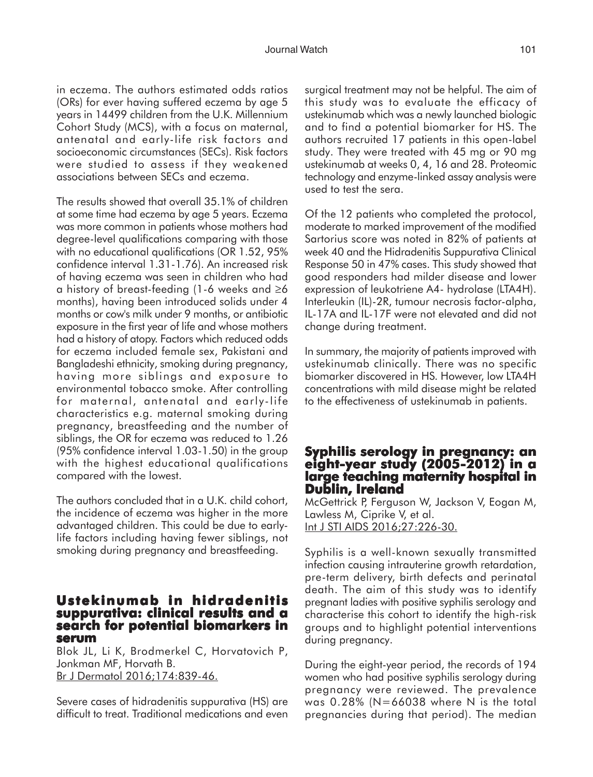in eczema. The authors estimated odds ratios (ORs) for ever having suffered eczema by age 5 years in 14499 children from the U.K. Millennium Cohort Study (MCS), with a focus on maternal, antenatal and early-life risk factors and socioeconomic circumstances (SECs). Risk factors were studied to assess if they weakened associations between SECs and eczema.

The results showed that overall 35.1% of children at some time had eczema by age 5 years. Eczema was more common in patients whose mothers had degree-level qualifications comparing with those with no educational qualifications (OR 1.52, 95% confidence interval 1.31-1.76). An increased risk of having eczema was seen in children who had a history of breast-feeding (1-6 weeks and ≥6 months), having been introduced solids under 4 months or cow's milk under 9 months, or antibiotic exposure in the first year of life and whose mothers had a history of atopy. Factors which reduced odds for eczema included female sex, Pakistani and Bangladeshi ethnicity, smoking during pregnancy, having more siblings and exposure to environmental tobacco smoke. After controlling for maternal, antenatal and early-life characteristics e.g. maternal smoking during pregnancy, breastfeeding and the number of siblings, the OR for eczema was reduced to 1.26 (95% confidence interval 1.03-1.50) in the group with the highest educational qualifications compared with the lowest.

The authors concluded that in a U.K. child cohort, the incidence of eczema was higher in the more advantaged children. This could be due to earlylife factors including having fewer siblings, not smoking during pregnancy and breastfeeding.

#### **Ustekinumab in hidradenitis suppurativa: clinical results and a search for potential biomarkers in serum**

Blok JL, Li K, Brodmerkel C, Horvatovich P, Jonkman MF, Horvath B. Br J Dermatol 2016;174:839-46.

Severe cases of hidradenitis suppurativa (HS) are difficult to treat. Traditional medications and even surgical treatment may not be helpful. The aim of this study was to evaluate the efficacy of ustekinumab which was a newly launched biologic and to find a potential biomarker for HS. The authors recruited 17 patients in this open-label study. They were treated with 45 mg or 90 mg ustekinumab at weeks 0, 4, 16 and 28. Proteomic technology and enzyme-linked assay analysis were used to test the sera.

Of the 12 patients who completed the protocol, moderate to marked improvement of the modified Sartorius score was noted in 82% of patients at week 40 and the Hidradenitis Suppurativa Clinical Response 50 in 47% cases. This study showed that good responders had milder disease and lower expression of leukotriene A4- hydrolase (LTA4H). Interleukin (IL)-2R, tumour necrosis factor-alpha, IL-17A and IL-17F were not elevated and did not change during treatment.

In summary, the majority of patients improved with ustekinumab clinically. There was no specific biomarker discovered in HS. However, low LTA4H concentrations with mild disease might be related to the effectiveness of ustekinumab in patients.

## **Syphilis serology in pregnancy: an eight-year study (2005-2012) in a large teaching maternity hospital in Dublin, Ireland**

McGettrick P, Ferguson W, Jackson V, Eogan M, Lawless M, Ciprike V, et al. Int J STI AIDS 2016;27:226-30.

Syphilis is a well-known sexually transmitted infection causing intrauterine growth retardation, pre-term delivery, birth defects and perinatal death. The aim of this study was to identify pregnant ladies with positive syphilis serology and characterise this cohort to identify the high-risk groups and to highlight potential interventions during pregnancy.

During the eight-year period, the records of 194 women who had positive syphilis serology during pregnancy were reviewed. The prevalence was 0.28% (N=66038 where N is the total pregnancies during that period). The median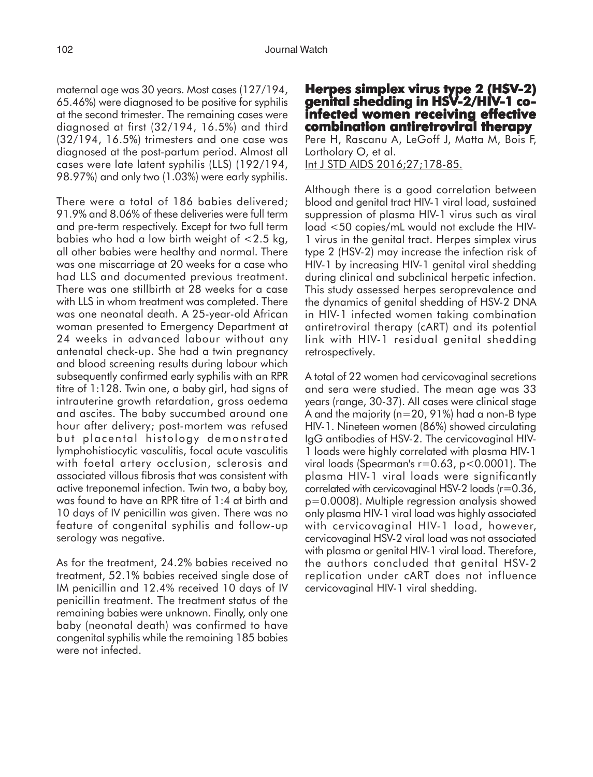maternal age was 30 years. Most cases (127/194, 65.46%) were diagnosed to be positive for syphilis at the second trimester. The remaining cases were diagnosed at first (32/194, 16.5%) and third (32/194, 16.5%) trimesters and one case was diagnosed at the post-partum period. Almost all cases were late latent syphilis (LLS) (192/194, 98.97%) and only two (1.03%) were early syphilis.

There were a total of 186 babies delivered; 91.9% and 8.06% of these deliveries were full term and pre-term respectively. Except for two full term babies who had a low birth weight of <2.5 kg, all other babies were healthy and normal. There was one miscarriage at 20 weeks for a case who had LLS and documented previous treatment. There was one stillbirth at 28 weeks for a case with LLS in whom treatment was completed. There was one neonatal death. A 25-year-old African woman presented to Emergency Department at 24 weeks in advanced labour without any antenatal check-up. She had a twin pregnancy and blood screening results during labour which subsequently confirmed early syphilis with an RPR titre of 1:128. Twin one, a baby girl, had signs of intrauterine growth retardation, gross oedema and ascites. The baby succumbed around one hour after delivery; post-mortem was refused but placental histology demonstrated lymphohistiocytic vasculitis, focal acute vasculitis with foetal artery occlusion, sclerosis and associated villous fibrosis that was consistent with active treponemal infection. Twin two, a baby boy, was found to have an RPR titre of 1:4 at birth and 10 days of IV penicillin was given. There was no feature of congenital syphilis and follow-up serology was negative.

As for the treatment, 24.2% babies received no treatment, 52.1% babies received single dose of IM penicillin and 12.4% received 10 days of IV penicillin treatment. The treatment status of the remaining babies were unknown. Finally, only one baby (neonatal death) was confirmed to have congenital syphilis while the remaining 185 babies were not infected.

# **Herpes simplex virus type 2 (HSV-2) genital shedding in HSV-2/HIV-1 co- infected women receiving effective combination antiretroviral therapy**

Pere H, Rascanu A, LeGoff J, Matta M, Bois F, Lortholary O, et al. Int J STD AIDS 2016;27;178-85.

Although there is a good correlation between blood and genital tract HIV-1 viral load, sustained suppression of plasma HIV-1 virus such as viral load <50 copies/mL would not exclude the HIV-1 virus in the genital tract. Herpes simplex virus type 2 (HSV-2) may increase the infection risk of HIV-1 by increasing HIV-1 genital viral shedding during clinical and subclinical herpetic infection. This study assessed herpes seroprevalence and the dynamics of genital shedding of HSV-2 DNA in HIV-1 infected women taking combination antiretroviral therapy (cART) and its potential link with HIV-1 residual genital shedding retrospectively.

A total of 22 women had cervicovaginal secretions and sera were studied. The mean age was 33 years (range, 30-37). All cases were clinical stage A and the majority (n=20, 91%) had a non-B type HIV-1. Nineteen women (86%) showed circulating IgG antibodies of HSV-2. The cervicovaginal HIV-1 loads were highly correlated with plasma HIV-1 viral loads (Spearman's  $r=0.63$ ,  $p<0.0001$ ). The plasma HIV-1 viral loads were significantly correlated with cervicovaginal HSV-2 loads (r=0.36, p=0.0008). Multiple regression analysis showed only plasma HIV-1 viral load was highly associated with cervicovaginal HIV-1 load, however, cervicovaginal HSV-2 viral load was not associated with plasma or genital HIV-1 viral load. Therefore, the authors concluded that genital HSV-2 replication under cART does not influence cervicovaginal HIV-1 viral shedding.